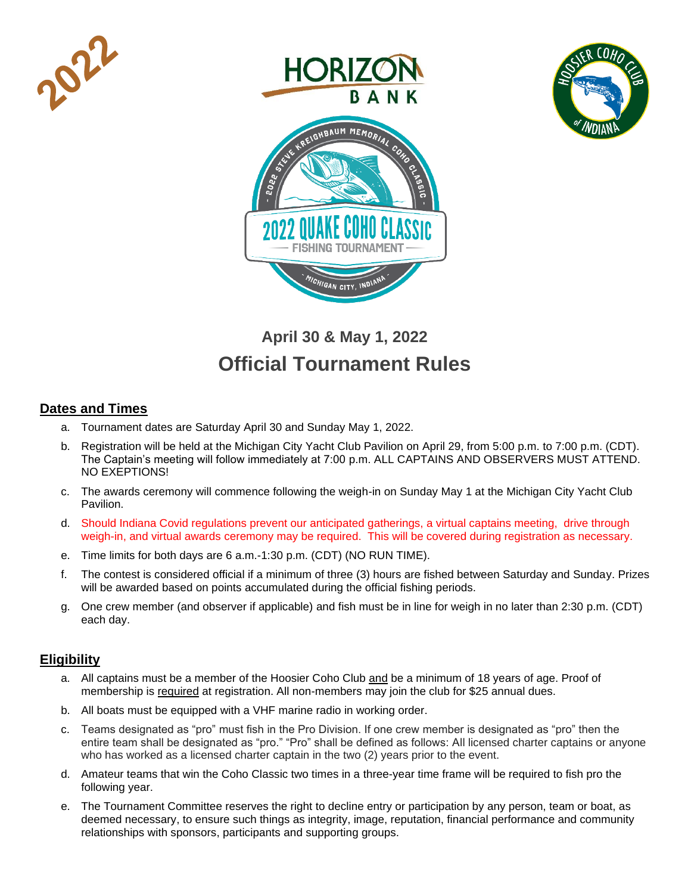





# **April 30 & May 1, 2022 Official Tournament Rules**

## **Dates and Times**

- a. Tournament dates are Saturday April 30 and Sunday May 1, 2022.
- b. Registration will be held at the Michigan City Yacht Club Pavilion on April 29, from 5:00 p.m. to 7:00 p.m. (CDT). The Captain's meeting will follow immediately at 7:00 p.m. ALL CAPTAINS AND OBSERVERS MUST ATTEND. NO EXEPTIONS!
- c. The awards ceremony will commence following the weigh-in on Sunday May 1 at the Michigan City Yacht Club Pavilion.
- d. Should Indiana Covid regulations prevent our anticipated gatherings, a virtual captains meeting, drive through weigh-in, and virtual awards ceremony may be required. This will be covered during registration as necessary.
- e. Time limits for both days are 6 a.m.-1:30 p.m. (CDT) (NO RUN TIME).
- f. The contest is considered official if a minimum of three (3) hours are fished between Saturday and Sunday. Prizes will be awarded based on points accumulated during the official fishing periods.
- g. One crew member (and observer if applicable) and fish must be in line for weigh in no later than 2:30 p.m. (CDT) each day.

## **Eligibility**

- a. All captains must be a member of the Hoosier Coho Club and be a minimum of 18 years of age. Proof of membership is required at registration. All non-members may join the club for \$25 annual dues.
- b. All boats must be equipped with a VHF marine radio in working order.
- c. Teams designated as "pro" must fish in the Pro Division. If one crew member is designated as "pro" then the entire team shall be designated as "pro." "Pro" shall be defined as follows: All licensed charter captains or anyone who has worked as a licensed charter captain in the two (2) years prior to the event.
- d. Amateur teams that win the Coho Classic two times in a three-year time frame will be required to fish pro the following year.
- e. The Tournament Committee reserves the right to decline entry or participation by any person, team or boat, as deemed necessary, to ensure such things as integrity, image, reputation, financial performance and community relationships with sponsors, participants and supporting groups.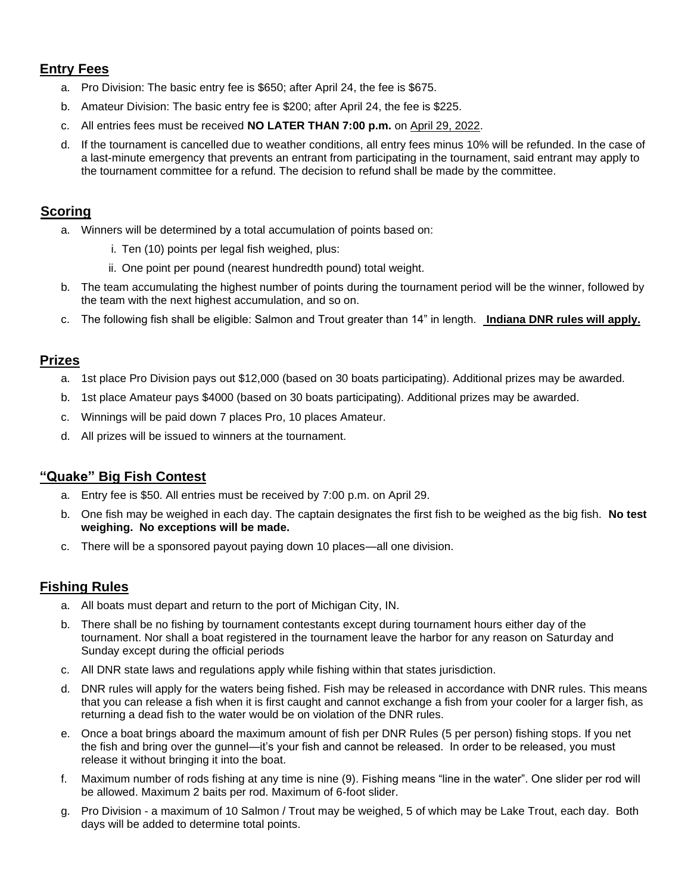# **Entry Fees**

- a. Pro Division: The basic entry fee is \$650; after April 24, the fee is \$675.
- b. Amateur Division: The basic entry fee is \$200; after April 24, the fee is \$225.
- c. All entries fees must be received **NO LATER THAN 7:00 p.m.** on April 29, 2022.
- d. If the tournament is cancelled due to weather conditions, all entry fees minus 10% will be refunded. In the case of a last-minute emergency that prevents an entrant from participating in the tournament, said entrant may apply to the tournament committee for a refund. The decision to refund shall be made by the committee.

# **Scoring**

- a. Winners will be determined by a total accumulation of points based on:
	- i. Ten (10) points per legal fish weighed, plus:
	- ii. One point per pound (nearest hundredth pound) total weight.
- b. The team accumulating the highest number of points during the tournament period will be the winner, followed by the team with the next highest accumulation, and so on.
- c. The following fish shall be eligible: Salmon and Trout greater than 14" in length. **Indiana DNR rules will apply.**

## **Prizes**

- a. 1st place Pro Division pays out \$12,000 (based on 30 boats participating). Additional prizes may be awarded.
- b. 1st place Amateur pays \$4000 (based on 30 boats participating). Additional prizes may be awarded.
- c. Winnings will be paid down 7 places Pro, 10 places Amateur.
- d. All prizes will be issued to winners at the tournament.

## **"Quake" Big Fish Contest**

- a. Entry fee is \$50. All entries must be received by 7:00 p.m. on April 29.
- b. One fish may be weighed in each day. The captain designates the first fish to be weighed as the big fish. **No test weighing. No exceptions will be made.**
- c. There will be a sponsored payout paying down 10 places—all one division.

## **Fishing Rules**

- a. All boats must depart and return to the port of Michigan City, IN.
- b. There shall be no fishing by tournament contestants except during tournament hours either day of the tournament. Nor shall a boat registered in the tournament leave the harbor for any reason on Saturday and Sunday except during the official periods
- c. All DNR state laws and regulations apply while fishing within that states jurisdiction.
- d. DNR rules will apply for the waters being fished. Fish may be released in accordance with DNR rules. This means that you can release a fish when it is first caught and cannot exchange a fish from your cooler for a larger fish, as returning a dead fish to the water would be on violation of the DNR rules.
- e. Once a boat brings aboard the maximum amount of fish per DNR Rules (5 per person) fishing stops. If you net the fish and bring over the gunnel—it's your fish and cannot be released. In order to be released, you must release it without bringing it into the boat.
- f. Maximum number of rods fishing at any time is nine (9). Fishing means "line in the water". One slider per rod will be allowed. Maximum 2 baits per rod. Maximum of 6-foot slider.
- g. Pro Division a maximum of 10 Salmon / Trout may be weighed, 5 of which may be Lake Trout, each day. Both days will be added to determine total points.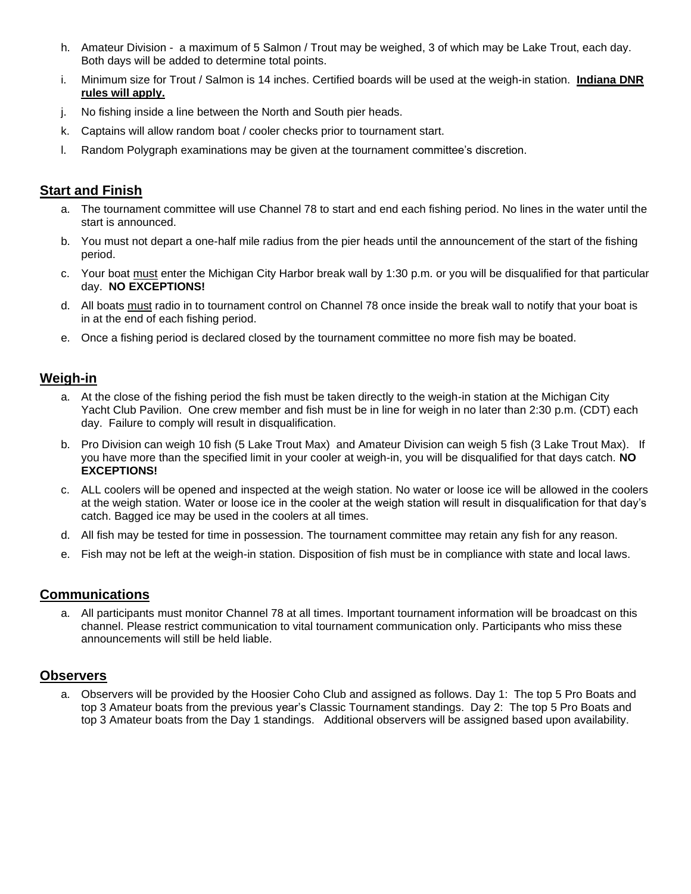- h. Amateur Division a maximum of 5 Salmon / Trout may be weighed, 3 of which may be Lake Trout, each day. Both days will be added to determine total points.
- i. Minimum size for Trout / Salmon is 14 inches. Certified boards will be used at the weigh-in station. **Indiana DNR rules will apply.**
- j. No fishing inside a line between the North and South pier heads.
- k. Captains will allow random boat / cooler checks prior to tournament start.
- l. Random Polygraph examinations may be given at the tournament committee's discretion.

# **Start and Finish**

- a. The tournament committee will use Channel 78 to start and end each fishing period. No lines in the water until the start is announced.
- b. You must not depart a one-half mile radius from the pier heads until the announcement of the start of the fishing period.
- c. Your boat must enter the Michigan City Harbor break wall by 1:30 p.m. or you will be disqualified for that particular day. **NO EXCEPTIONS!**
- d. All boats must radio in to tournament control on Channel 78 once inside the break wall to notify that your boat is in at the end of each fishing period.
- e. Once a fishing period is declared closed by the tournament committee no more fish may be boated.

## **Weigh-in**

- a. At the close of the fishing period the fish must be taken directly to the weigh-in station at the Michigan City Yacht Club Pavilion. One crew member and fish must be in line for weigh in no later than 2:30 p.m. (CDT) each day. Failure to comply will result in disqualification.
- b. Pro Division can weigh 10 fish (5 Lake Trout Max) and Amateur Division can weigh 5 fish (3 Lake Trout Max). If you have more than the specified limit in your cooler at weigh-in, you will be disqualified for that days catch. **NO EXCEPTIONS!**
- c. ALL coolers will be opened and inspected at the weigh station. No water or loose ice will be allowed in the coolers at the weigh station. Water or loose ice in the cooler at the weigh station will result in disqualification for that day's catch. Bagged ice may be used in the coolers at all times.
- d. All fish may be tested for time in possession. The tournament committee may retain any fish for any reason.
- e. Fish may not be left at the weigh-in station. Disposition of fish must be in compliance with state and local laws.

## **Communications**

a. All participants must monitor Channel 78 at all times. Important tournament information will be broadcast on this channel. Please restrict communication to vital tournament communication only. Participants who miss these announcements will still be held liable.

## **Observers**

a. Observers will be provided by the Hoosier Coho Club and assigned as follows. Day 1: The top 5 Pro Boats and top 3 Amateur boats from the previous year's Classic Tournament standings. Day 2: The top 5 Pro Boats and top 3 Amateur boats from the Day 1 standings. Additional observers will be assigned based upon availability.